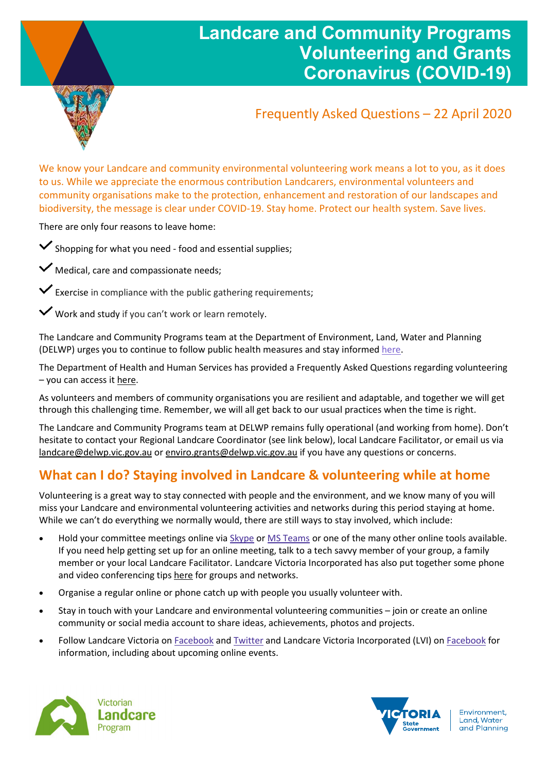

## **Landcare and Community Programs Volunteering and Grants Coronavirus (COVID-19)**

## Frequently Asked Questions – 22 April 2020

We know your Landcare and community environmental volunteering work means a lot to you, as it does to us. While we appreciate the enormous contribution Landcarers, environmental volunteers and community organisations make to the protection, enhancement and restoration of our landscapes and biodiversity, the message is clear under COVID-19. Stay home. Protect our health system. Save lives.

There are only four reasons to leave home:

 $\checkmark$  Shopping for what you need - food and essential supplies;

 $\vee$  Medical, care and compassionate needs;

 $\checkmark$  Exercise in compliance with the public gathering requirements;

Work and study if you can't work or learn remotely.

The Landcare and Community Programs team at the Department of Environment, Land, Water and Planning (DELWP) urges you to continue to follow public health measures and stay informe[d here.](http://www.coronavirus.vic.gov.au/)

The Department of Health and Human Services has provided a Frequently Asked Questions regarding volunteering – you can access it [here.](https://www.dhhs.vic.gov.au/coronavirus-stay-home-directions-frequently-asked-questions#can-i-leave-my-house-to-do-volunteering-work)

As volunteers and members of community organisations you are resilient and adaptable, and together we will get through this challenging time. Remember, we will all get back to our usual practices when the time is right.

The Landcare and Community Programs team at DELWP remains fully operational (and working from home). Don't hesitate to contact your Regional Landcare Coordinator (see link below), local Landcare Facilitator, or email us via [landcare@delwp.vic.gov.au](mailto:landcare@delwp.vic.gov.au) o[r enviro.grants@delwp.vic.gov.au](mailto:enviro.grants@delwp.vic.gov.au) if you have any questions or concerns.

## **What can I do? Staying involved in Landcare & volunteering while at home**

Volunteering is a great way to stay connected with people and the environment, and we know many of you will miss your Landcare and environmental volunteering activities and networks during this period staying at home. While we can't do everything we normally would, there are still ways to stay involved, which include:

- Hold your committee meetings online via [Skype](https://support.skype.com/en/faq/FA11098/how-do-i-get-started-with-skype) or [MS Teams](https://www.microsoft.com/en-au/microsoft-365/microsoft-teams/group-chat-software) or one of the many other online tools available. If you need help getting set up for an online meeting, talk to a tech savvy member of your group, a family member or your local Landcare Facilitator. Landcare Victoria Incorporated has also put together some phone and video conferencing tip[s here](https://www.landcarevic.org.au/groups/state/lvi/phone-and-video-conferencing-tips-for-landcare-groups/) for groups and networks.
- Organise a regular online or phone catch up with people you usually volunteer with.
- Stay in touch with your Landcare and environmental volunteering communities join or create an online community or social media account to share ideas, achievements, photos and projects.
- Follow Landcare Victoria on [Facebook](https://www.facebook.com/landcarevictoria/) an[d Twitter](https://twitter.com/landcarevic) and Landcare Victoria Incorporated (LVI) on [Facebook](https://www.facebook.com/landcarevictoriaincorporated) for information, including about upcoming online events.



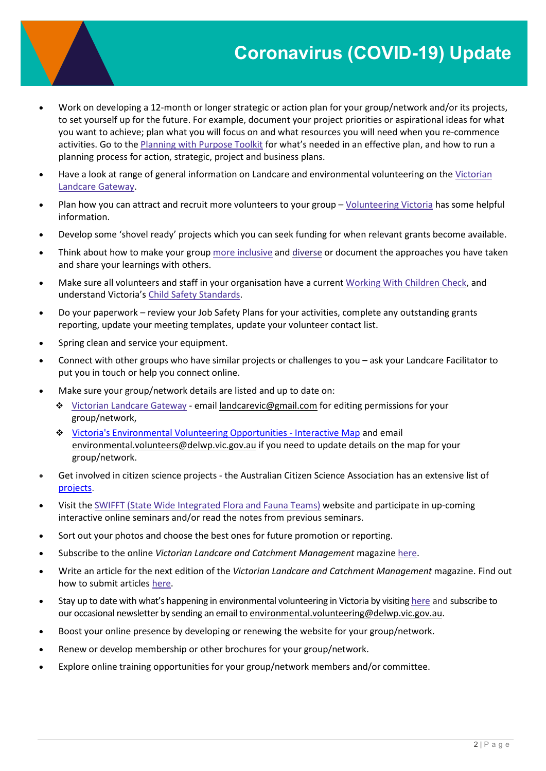# **Coronavirus (COVID-19) Update**

- Work on developing a 12-month or longer strategic or action plan for your group/network and/or its projects, to set yourself up for the future. For example, document your project priorities or aspirational ideas for what you want to achieve; plan what you will focus on and what resources you will need when you re-commence activities. Go to the [Planning with Purpose Toolkit](https://www.landcarevic.org.au/resources/toolkit-planning-with-purpose/) for what's needed in an effective plan, and how to run a planning process for action, strategic, project and business plans.
- Have a look at range of general information on Landcare and environmental volunteering on the Victorian [Landcare Gateway.](https://www.landcarevic.org.au/)
- Plan how you can attract and recruit more volunteers to your group [Volunteering Victoria](http://volunteeringvictoria.com.au/managing-volunteers/searching-for-volunteers/) has some helpful information.
- Develop some 'shovel ready' projects which you can seek funding for when relevant grants become available.
- Think about how to make your group [more inclusive](http://volunteeringvictoria.com.au/managing-volunteers/building-an-inclusive-volunteer-program/) and [diverse](https://www.volunteeringaustralia.org/wp-content/files_mf/1377046067VAPracticalGuideInvolvingvolunteersfromCALDbackgrounds2007.pdf) or document the approaches you have taken and share your learnings with others.
- Make sure all volunteers and staff in your organisation have a current [Working With Children Check,](https://www.workingwithchildren.vic.gov.au/) and understand Victoria's [Child Safety Standards.](https://ccyp.vic.gov.au/child-safety/being-a-child-safe-organisation/the-child-safe-standards/)
- Do your paperwork review your Job Safety Plans for your activities, complete any outstanding grants reporting, update your meeting templates, update your volunteer contact list.
- Spring clean and service your equipment.
- Connect with other groups who have similar projects or challenges to you ask your Landcare Facilitator to put you in touch or help you connect online.
- Make sure your group/network details are listed and up to date on:
	- [Victorian Landcare Gateway](https://www.landcarevic.org.au/) email [landcarevic@gmail.com](mailto:landcarevic@gmail.com) for editing permissions for your group/network,
	- [Victoria's Environmental Volunteering Opportunities -](https://www.environment.vic.gov.au/victorians-volunteering-for-nature#toc__id_1_environmental) Interactive Map and email [environmental.volunteers@delwp.vic.gov.au](mailto:environmental.volunteers@delwp.vic.gov.au) if you need to update details on the map for your group/network.
- Get involved in citizen science projects the Australian Citizen Science Association has an extensive list of [projects](https://citizenscience.org.au/ala-project-finder/).
- Visit the [SWIFFT \(State Wide Integrated Flora and Fauna Teams\)](https://www.swifft.net.au/) website and participate in up-coming interactive online seminars and/or read the notes from previous seminars.
- Sort out your photos and choose the best ones for future promotion or reporting.
- Subscribe to the online *Victorian Landcare and Catchment Management* magazine [here.](https://www.landcarevic.org.au/landcare-magazine/)
- Write an article for the next edition of the *Victorian Landcare and Catchment Management* magazine. Find out how to submit articles [here.](https://www.landcarevic.org.au/landcare-magazine/)
- Stay up to date with what's happening in environmental volunteering in Victoria by visiting [here](https://www.environment.vic.gov.au/volunteering) and subscribe to our occasional newsletter by sending an email t[o environmental.volunteering@delwp.vic.gov.au.](mailto:environmental.volunteering@delwp.vic.gov.au)
- Boost your online presence by developing or renewing the website for your group/network.
- Renew or develop membership or other brochures for your group/network.
- Explore online training opportunities for your group/network members and/or committee.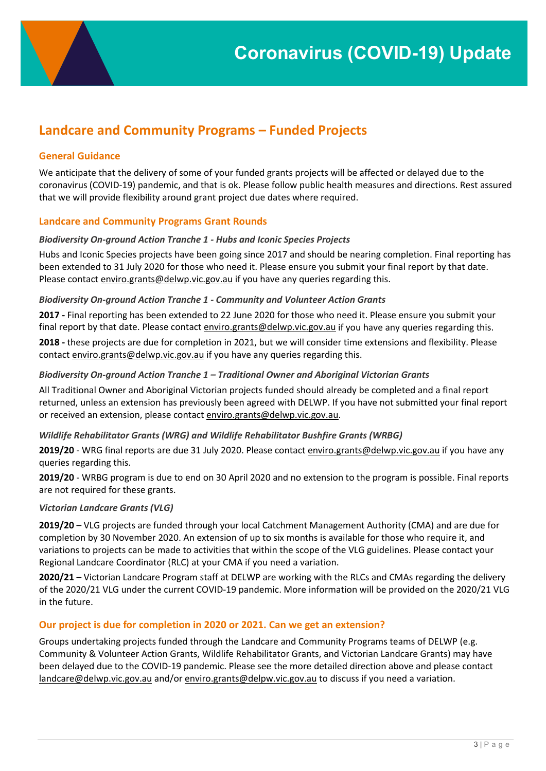### **Landcare and Community Programs – Funded Projects**

#### **General Guidance**

We anticipate that the delivery of some of your funded grants projects will be affected or delayed due to the coronavirus (COVID-19) pandemic, and that is ok. Please follow public health measures and directions. Rest assured that we will provide flexibility around grant project due dates where required.

#### **Landcare and Community Programs Grant Rounds**

#### *Biodiversity On-ground Action Tranche 1 - Hubs and Iconic Species Projects*

Hubs and Iconic Species projects have been going since 2017 and should be nearing completion. Final reporting has been extended to 31 July 2020 for those who need it. Please ensure you submit your final report by that date. Please contact [enviro.grants@delwp.vic.gov.au](mailto:enviro.grants@delwp.vic.gov.au) if you have any queries regarding this.

#### *Biodiversity On-ground Action Tranche 1 - Community and Volunteer Action Grants*

**2017 -** Final reporting has been extended to 22 June 2020 for those who need it. Please ensure you submit your final report by that date. Please contact [enviro.grants@delwp.vic.gov.au](mailto:enviro.grants@delwp.vic.gov.au) if you have any queries regarding this.

**2018 -** these projects are due for completion in 2021, but we will consider time extensions and flexibility. Please contac[t enviro.grants@delwp.vic.gov.au](mailto:enviro.grants@delwp.vic.gov.au) if you have any queries regarding this.

#### *Biodiversity On-ground Action Tranche 1 – Traditional Owner and Aboriginal Victorian Grants*

All Traditional Owner and Aboriginal Victorian projects funded should already be completed and a final report returned, unless an extension has previously been agreed with DELWP. If you have not submitted your final report or received an extension, please contact [enviro.grants@delwp.vic.gov.au.](mailto:enviro.grants@delwp.vic.gov.au)

#### *Wildlife Rehabilitator Grants (WRG) and Wildlife Rehabilitator Bushfire Grants (WRBG)*

**2019/20** - WRG final reports are due 31 July 2020. Please contac[t enviro.grants@delwp.vic.gov.au](mailto:enviro.grants@delwp.vic.gov.au) if you have any queries regarding this.

**2019/20** - WRBG program is due to end on 30 April 2020 and no extension to the program is possible. Final reports are not required for these grants.

#### *Victorian Landcare Grants (VLG)*

**2019/20** – VLG projects are funded through your local Catchment Management Authority (CMA) and are due for completion by 30 November 2020. An extension of up to six months is available for those who require it, and variations to projects can be made to activities that within the scope of the VLG guidelines. Please contact your Regional Landcare Coordinator (RLC) at your CMA if you need a variation.

**2020/21** – Victorian Landcare Program staff at DELWP are working with the RLCs and CMAs regarding the delivery of the 2020/21 VLG under the current COVID-19 pandemic. More information will be provided on the 2020/21 VLG in the future.

#### **Our project is due for completion in 2020 or 2021. Can we get an extension?**

Groups undertaking projects funded through the Landcare and Community Programs teams of DELWP (e.g. Community & Volunteer Action Grants, Wildlife Rehabilitator Grants, and Victorian Landcare Grants) may have been delayed due to the COVID-19 pandemic. Please see the more detailed direction above and please contact [landcare@delwp.vic.gov.au](mailto:landcare@delwp.vic.gov.au) and/o[r enviro.grants@delpw.vic.gov.au](mailto:enviro.grants@delpw.vic.gov.au) to discuss if you need a variation.